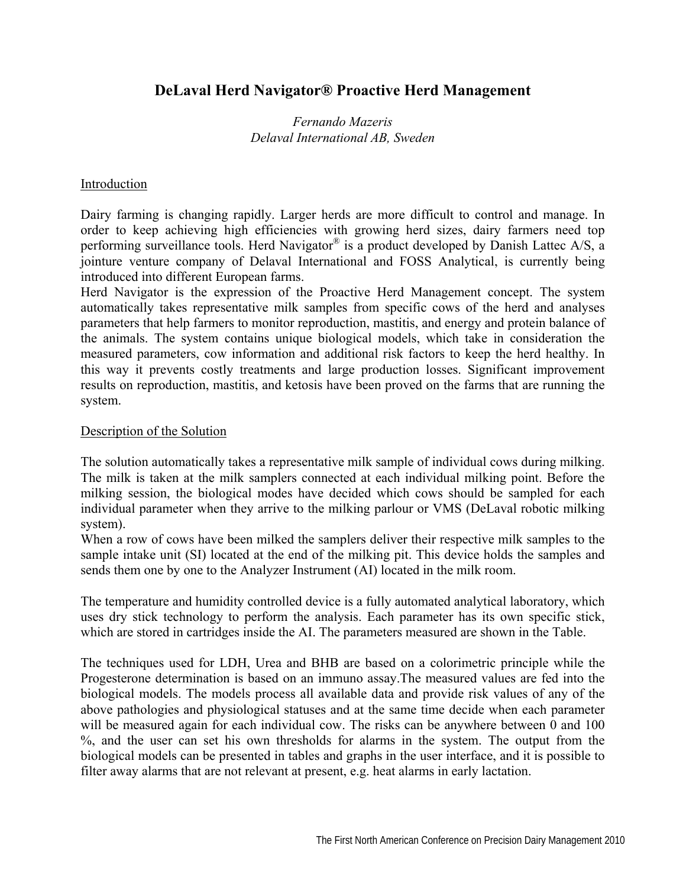# **DeLaval Herd Navigator® Proactive Herd Management**

# *Fernando Mazeris Delaval International AB, Sweden*

#### Introduction

Dairy farming is changing rapidly. Larger herds are more difficult to control and manage. In order to keep achieving high efficiencies with growing herd sizes, dairy farmers need top performing surveillance tools. Herd Navigator<sup>®</sup> is a product developed by Danish Lattec A/S, a jointure venture company of Delaval International and FOSS Analytical, is currently being introduced into different European farms.

Herd Navigator is the expression of the Proactive Herd Management concept. The system automatically takes representative milk samples from specific cows of the herd and analyses parameters that help farmers to monitor reproduction, mastitis, and energy and protein balance of the animals. The system contains unique biological models, which take in consideration the measured parameters, cow information and additional risk factors to keep the herd healthy. In this way it prevents costly treatments and large production losses. Significant improvement results on reproduction, mastitis, and ketosis have been proved on the farms that are running the system.

#### Description of the Solution

The solution automatically takes a representative milk sample of individual cows during milking. The milk is taken at the milk samplers connected at each individual milking point. Before the milking session, the biological modes have decided which cows should be sampled for each individual parameter when they arrive to the milking parlour or VMS (DeLaval robotic milking system).

When a row of cows have been milked the samplers deliver their respective milk samples to the sample intake unit (SI) located at the end of the milking pit. This device holds the samples and sends them one by one to the Analyzer Instrument (AI) located in the milk room.

The temperature and humidity controlled device is a fully automated analytical laboratory, which uses dry stick technology to perform the analysis. Each parameter has its own specific stick, which are stored in cartridges inside the AI. The parameters measured are shown in the Table.

The techniques used for LDH, Urea and BHB are based on a colorimetric principle while the Progesterone determination is based on an immuno assay.The measured values are fed into the biological models. The models process all available data and provide risk values of any of the above pathologies and physiological statuses and at the same time decide when each parameter will be measured again for each individual cow. The risks can be anywhere between 0 and 100 %, and the user can set his own thresholds for alarms in the system. The output from the biological models can be presented in tables and graphs in the user interface, and it is possible to filter away alarms that are not relevant at present, e.g. heat alarms in early lactation.